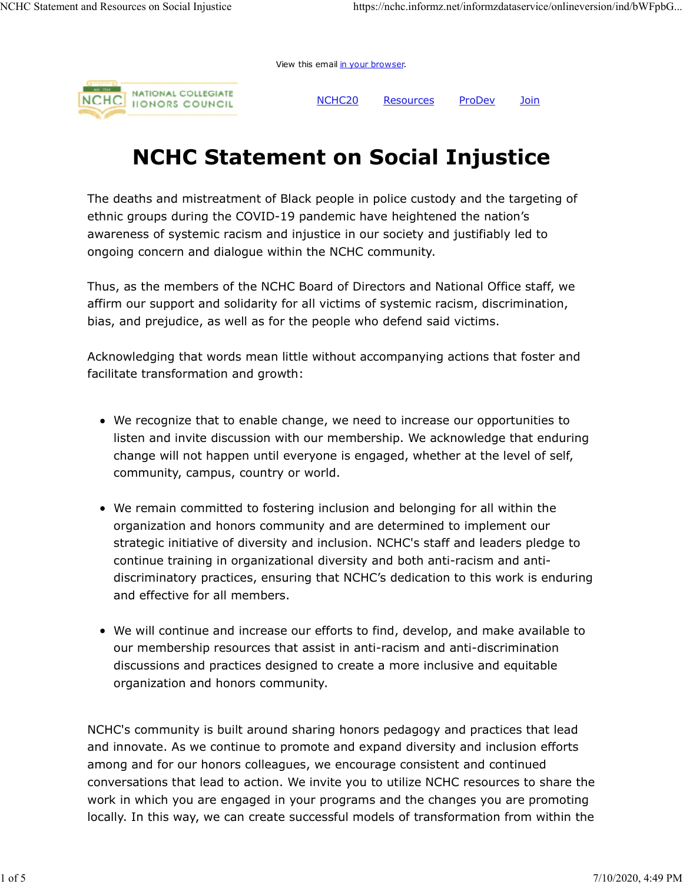View this email in your browser.



NCHC20 Resources ProDev Join

## NCHC Statement on Social Injustice

The deaths and mistreatment of Black people in police custody and the targeting of ethnic groups during the COVID-19 pandemic have heightened the nation's awareness of systemic racism and injustice in our society and justifiably led to ongoing concern and dialogue within the NCHC community.

Thus, as the members of the NCHC Board of Directors and National Office staff, we affirm our support and solidarity for all victims of systemic racism, discrimination, bias, and prejudice, as well as for the people who defend said victims.

Acknowledging that words mean little without accompanying actions that foster and facilitate transformation and growth:

- We recognize that to enable change, we need to increase our opportunities to listen and invite discussion with our membership. We acknowledge that enduring change will not happen until everyone is engaged, whether at the level of self, community, campus, country or world.
- We remain committed to fostering inclusion and belonging for all within the organization and honors community and are determined to implement our strategic initiative of diversity and inclusion. NCHC's staff and leaders pledge to continue training in organizational diversity and both anti-racism and antidiscriminatory practices, ensuring that NCHC's dedication to this work is enduring and effective for all members.
- We will continue and increase our efforts to find, develop, and make available to our membership resources that assist in anti-racism and anti-discrimination discussions and practices designed to create a more inclusive and equitable organization and honors community.

NCHC's community is built around sharing honors pedagogy and practices that lead and innovate. As we continue to promote and expand diversity and inclusion efforts among and for our honors colleagues, we encourage consistent and continued conversations that lead to action. We invite you to utilize NCHC resources to share the work in which you are engaged in your programs and the changes you are promoting locally. In this way, we can create successful models of transformation from within the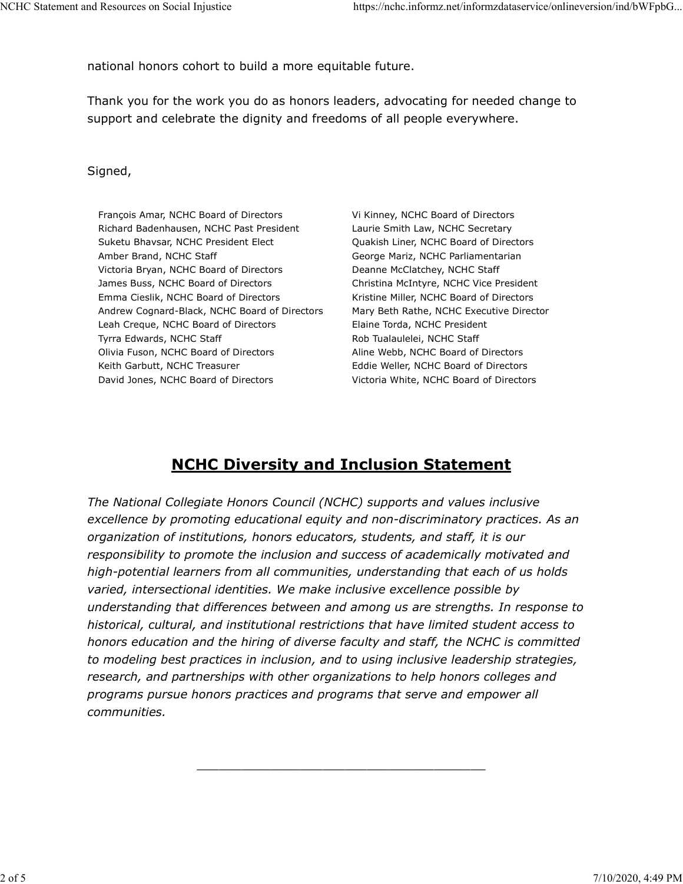national honors cohort to build a more equitable future.

Thank you for the work you do as honors leaders, advocating for needed change to support and celebrate the dignity and freedoms of all people everywhere.

#### Signed,

François Amar, NCHC Board of Directors Richard Badenhausen, NCHC Past President Suketu Bhavsar, NCHC President Elect Amber Brand, NCHC Staff Victoria Bryan, NCHC Board of Directors James Buss, NCHC Board of Directors Emma Cieslik, NCHC Board of Directors Andrew Cognard-Black, NCHC Board of Directors Leah Creque, NCHC Board of Directors Tyrra Edwards, NCHC Staff Olivia Fuson, NCHC Board of Directors Keith Garbutt, NCHC Treasurer David Jones, NCHC Board of Directors

Vi Kinney, NCHC Board of Directors Laurie Smith Law, NCHC Secretary Quakish Liner, NCHC Board of Directors George Mariz, NCHC Parliamentarian Deanne McClatchey, NCHC Staff Christina McIntyre, NCHC Vice President Kristine Miller, NCHC Board of Directors Mary Beth Rathe, NCHC Executive Director Elaine Torda, NCHC President Rob Tualaulelei, NCHC Staff Aline Webb, NCHC Board of Directors Eddie Weller, NCHC Board of Directors Victoria White, NCHC Board of Directors

 $\overline{\phantom{a}}$  , and the contract of the contract of the contract of the contract of the contract of the contract of the contract of the contract of the contract of the contract of the contract of the contract of the contrac

### NCHC Diversity and Inclusion Statement

The National Collegiate Honors Council (NCHC) supports and values inclusive excellence by promoting educational equity and non-discriminatory practices. As an organization of institutions, honors educators, students, and staff, it is our responsibility to promote the inclusion and success of academically motivated and high-potential learners from all communities, understanding that each of us holds varied, intersectional identities. We make inclusive excellence possible by understanding that differences between and among us are strengths. In response to historical, cultural, and institutional restrictions that have limited student access to honors education and the hiring of diverse faculty and staff, the NCHC is committed to modeling best practices in inclusion, and to using inclusive leadership strategies, research, and partnerships with other organizations to help honors colleges and programs pursue honors practices and programs that serve and empower all communities.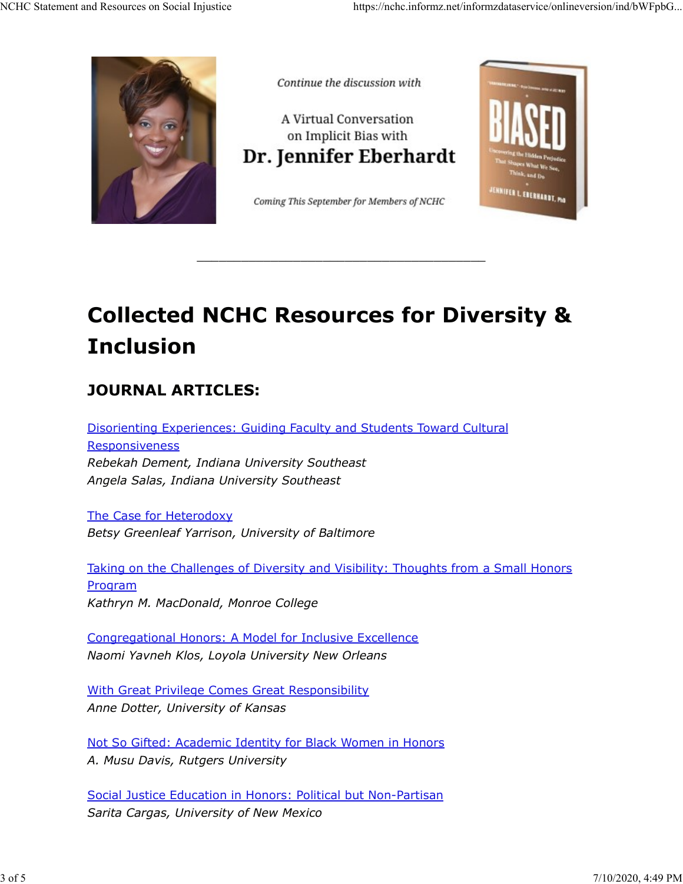

Continue the discussion with

A Virtual Conversation on Implicit Bias with Dr. Jennifer Eberhardt

Coming This September for Members of NCHC



 $\frac{1}{2}$  , the contribution of the contribution of the contribution of the contribution of the contribution of the contribution of the contribution of the contribution of the contribution of the contribution of the contr

# Collected NCHC Resources for Diversity & Inclusion

## JOURNAL ARTICLES:

Disorienting Experiences: Guiding Faculty and Students Toward Cultural **Responsiveness** Rebekah Dement, Indiana University Southeast Angela Salas, Indiana University Southeast

The Case for Heterodoxy Betsy Greenleaf Yarrison, University of Baltimore

Taking on the Challenges of Diversity and Visibility: Thoughts from a Small Honors Program Kathryn M. MacDonald, Monroe College

Congregational Honors: A Model for Inclusive Excellence Naomi Yavneh Klos, Loyola University New Orleans

With Great Privilege Comes Great Responsibility Anne Dotter, University of Kansas

Not So Gifted: Academic Identity for Black Women in Honors A. Musu Davis, Rutgers University

Social Justice Education in Honors: Political but Non-Partisan Sarita Cargas, University of New Mexico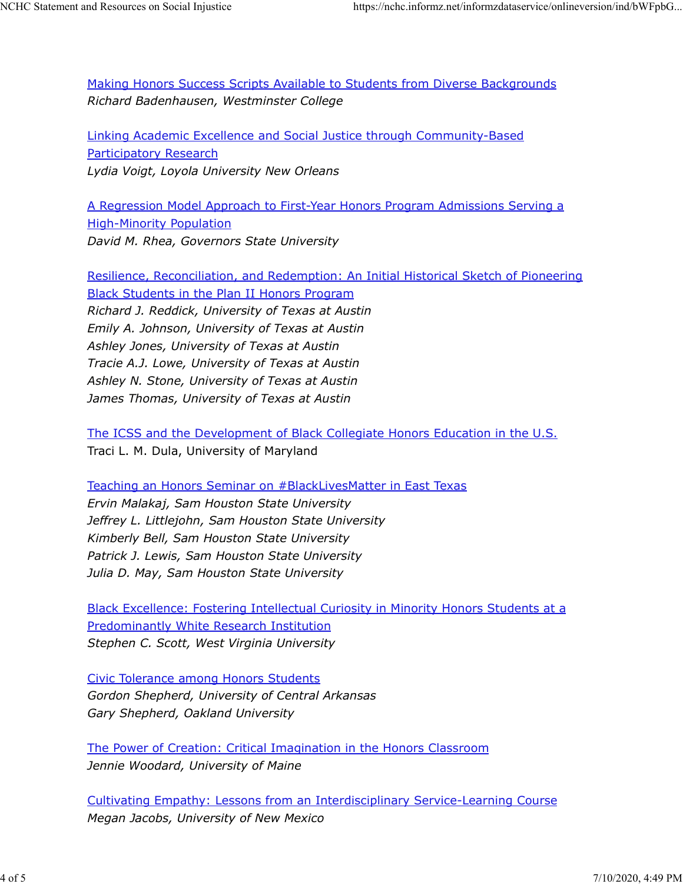Making Honors Success Scripts Available to Students from Diverse Backgrounds Richard Badenhausen, Westminster College

Linking Academic Excellence and Social Justice through Community-Based Participatory Research Lydia Voigt, Loyola University New Orleans

A Regression Model Approach to First-Year Honors Program Admissions Serving a High-Minority Population David M. Rhea, Governors State University

Resilience, Reconciliation, and Redemption: An Initial Historical Sketch of Pioneering Black Students in the Plan II Honors Program Richard J. Reddick, University of Texas at Austin Emily A. Johnson, University of Texas at Austin Ashley Jones, University of Texas at Austin Tracie A.J. Lowe, University of Texas at Austin Ashley N. Stone, University of Texas at Austin James Thomas, University of Texas at Austin

The ICSS and the Development of Black Collegiate Honors Education in the U.S. Traci L. M. Dula, University of Maryland

Teaching an Honors Seminar on #BlackLivesMatter in East Texas Ervin Malakaj, Sam Houston State University Jeffrey L. Littlejohn, Sam Houston State University Kimberly Bell, Sam Houston State University Patrick J. Lewis, Sam Houston State University Julia D. May, Sam Houston State University

Black Excellence: Fostering Intellectual Curiosity in Minority Honors Students at a Predominantly White Research Institution Stephen C. Scott, West Virginia University

Civic Tolerance among Honors Students Gordon Shepherd, University of Central Arkansas Gary Shepherd, Oakland University

The Power of Creation: Critical Imagination in the Honors Classroom Jennie Woodard, University of Maine

Cultivating Empathy: Lessons from an Interdisciplinary Service-Learning Course Megan Jacobs, University of New Mexico